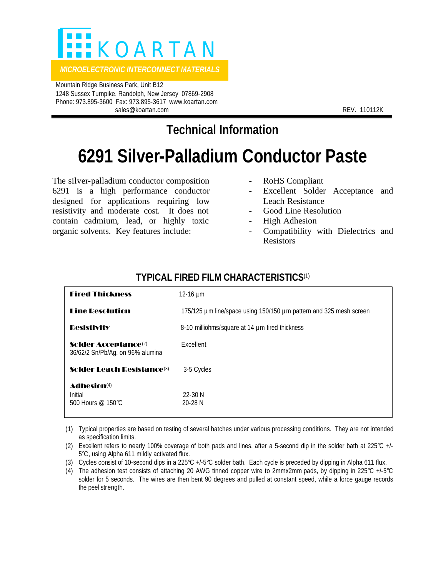

 Mountain Ridge Business Park, Unit B12 1248 Sussex Turnpike, Randolph, New Jersey 07869-2908 Phone: 973.895-3600 Fax: 973.895-3617 www.koartan.com sales@koartan.com **REV. 110112K** REV. 110112K

**Technical Information**

## **6291 Silver-Palladium Conductor Paste**

The silver-palladium conductor composition 6291 is a high performance conductor designed for applications requiring low resistivity and moderate cost. It does not contain cadmium, lead, or highly toxic organic solvents. Key features include:

- RoHS Compliant
- Excellent Solder Acceptance and Leach Resistance
- Good Line Resolution
- High Adhesion
- Compatibility with Dielectrics and Resistors

| <b>Fired Thickness</b>                                               | 12-16 $\mu$ m                                                      |
|----------------------------------------------------------------------|--------------------------------------------------------------------|
| <b>Line Resolution</b>                                               | 175/125 µm line/space using 150/150 µm pattern and 325 mesh screen |
| <b>Resistivity</b>                                                   | 8-10 milliohms/square at 14 µm fired thickness                     |
| Solder Acceptance <sup>(2)</sup><br>36/62/2 Sn/Pb/Ag, on 96% alumina | Excellent                                                          |
| Solder Leach Resistance <sup>(3)</sup>                               | 3-5 Cycles                                                         |
| <b>Adhesion</b> <sup>(4)</sup><br>Initial<br>500 Hours @ 150℃        | 22-30 N<br>$20 - 28$ N                                             |

## **TYPICAL FIRED FILM CHARACTERISTICS**(1)

(1) Typical properties are based on testing of several batches under various processing conditions. They are not intended as specification limits.

- (2) Excellent refers to nearly 100% coverage of both pads and lines, after a 5-second dip in the solder bath at 225°C +/- 5°C, using Alpha 611 mildly activated flux.
- (3) Cycles consist of 10-second dips in a 225°C +/-5°C solder bath. Each cycle is preceded by dipping in Alpha 611 flux.
- (4) The adhesion test consists of attaching 20 AWG tinned copper wire to 2mmx2mm pads, by dipping in 225 $^{\circ}$ C +/-5 $^{\circ}$ C solder for 5 seconds. The wires are then bent 90 degrees and pulled at constant speed, while a force gauge records the peel strength.